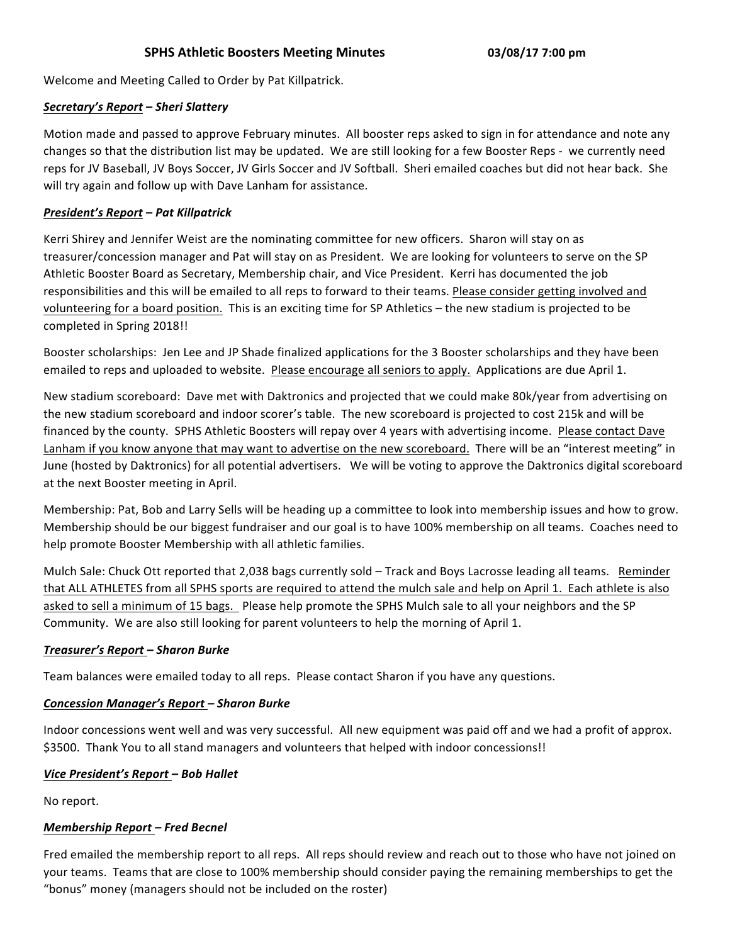Welcome and Meeting Called to Order by Pat Killpatrick.

### *Secretary's Report – Sheri Slattery*

Motion made and passed to approve February minutes. All booster reps asked to sign in for attendance and note any changes so that the distribution list may be updated. We are still looking for a few Booster Reps - we currently need reps for JV Baseball, JV Boys Soccer, JV Girls Soccer and JV Softball. Sheri emailed coaches but did not hear back. She will try again and follow up with Dave Lanham for assistance.

## *President's Report – Pat Killpatrick*

Kerri Shirey and Jennifer Weist are the nominating committee for new officers. Sharon will stay on as treasurer/concession manager and Pat will stay on as President. We are looking for volunteers to serve on the SP Athletic Booster Board as Secretary, Membership chair, and Vice President. Kerri has documented the job responsibilities and this will be emailed to all reps to forward to their teams. Please consider getting involved and volunteering for a board position. This is an exciting time for SP Athletics - the new stadium is projected to be completed in Spring 2018!!

Booster scholarships: Jen Lee and JP Shade finalized applications for the 3 Booster scholarships and they have been emailed to reps and uploaded to website. Please encourage all seniors to apply. Applications are due April 1.

New stadium scoreboard: Dave met with Daktronics and projected that we could make 80k/year from advertising on the new stadium scoreboard and indoor scorer's table. The new scoreboard is projected to cost 215k and will be financed by the county. SPHS Athletic Boosters will repay over 4 years with advertising income. Please contact Dave Lanham if you know anyone that may want to advertise on the new scoreboard. There will be an "interest meeting" in June (hosted by Daktronics) for all potential advertisers. We will be voting to approve the Daktronics digital scoreboard at the next Booster meeting in April.

Membership: Pat, Bob and Larry Sells will be heading up a committee to look into membership issues and how to grow. Membership should be our biggest fundraiser and our goal is to have 100% membership on all teams. Coaches need to help promote Booster Membership with all athletic families.

Mulch Sale: Chuck Ott reported that 2,038 bags currently sold – Track and Boys Lacrosse leading all teams. Reminder that ALL ATHLETES from all SPHS sports are required to attend the mulch sale and help on April 1. Each athlete is also asked to sell a minimum of 15 bags. Please help promote the SPHS Mulch sale to all your neighbors and the SP Community. We are also still looking for parent volunteers to help the morning of April 1.

### *Treasurer's Report – Sharon Burke*

Team balances were emailed today to all reps. Please contact Sharon if you have any questions.

# *Concession Manager's Report – Sharon Burke*

Indoor concessions went well and was very successful. All new equipment was paid off and we had a profit of approx. \$3500. Thank You to all stand managers and volunteers that helped with indoor concessions!!

### *Vice President's Report – Bob Hallet*

No report.

### *Membership Report – Fred Becnel*

Fred emailed the membership report to all reps. All reps should review and reach out to those who have not joined on your teams. Teams that are close to 100% membership should consider paying the remaining memberships to get the "bonus" money (managers should not be included on the roster)